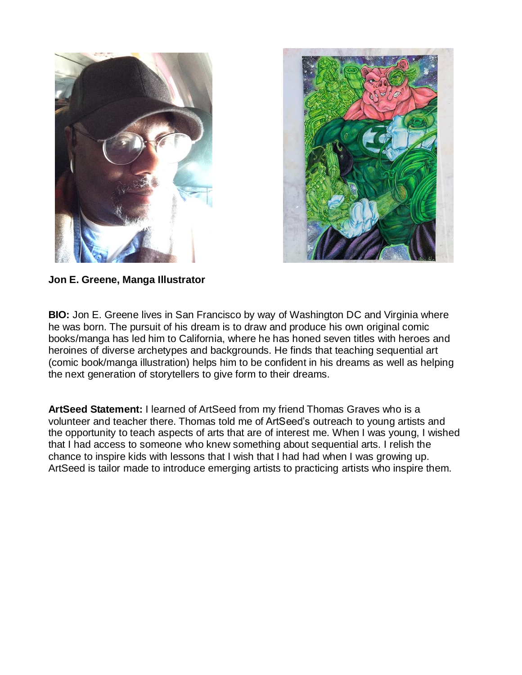



**Jon E. Greene, Manga Illustrator**

**BIO:** Jon E. Greene lives in San Francisco by way of Washington DC and Virginia where he was born. The pursuit of his dream is to draw and produce his own original comic books/manga has led him to California, where he has honed seven titles with heroes and heroines of diverse archetypes and backgrounds. He finds that teaching sequential art (comic book/manga illustration) helps him to be confident in his dreams as well as helping the next generation of storytellers to give form to their dreams.

**ArtSeed Statement:** I learned of ArtSeed from my friend Thomas Graves who is a volunteer and teacher there. Thomas told me of ArtSeed's outreach to young artists and the opportunity to teach aspects of arts that are of interest me. When I was young, I wished that I had access to someone who knew something about sequential arts. I relish the chance to inspire kids with lessons that I wish that I had had when I was growing up. ArtSeed is tailor made to introduce emerging artists to practicing artists who inspire them.